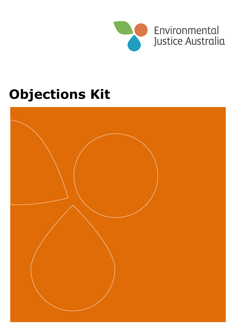

# **Objections Kit**

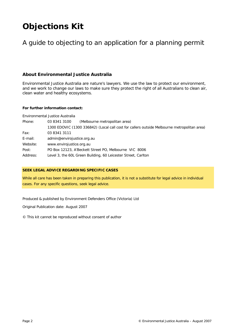# **Objections Kit**

# A guide to objecting to an application for a planning permit

# **About Environmental Justice Australia**

Environmental Justice Australia are nature's lawyers. We use the law to protect our environment, and we work to change our laws to make sure they protect the right of all Australians to clean air, clean water and healthy ecosystems.

### **For further information contact:**

Environmental Justice Australia

| Phone:   | 03 8341 3100<br>(Melbourne metropolitan area)                                               |  |  |
|----------|---------------------------------------------------------------------------------------------|--|--|
|          | 1300 EDOVIC (1300 336842) (Local call cost for callers outside Melbourne metropolitan area) |  |  |
| Fax:     | 03 8341 3111                                                                                |  |  |
| E-mail:  | admin@envirojustice.org.au                                                                  |  |  |
| Website: | www.envirojustice.org.au                                                                    |  |  |
| Post:    | PO Box 12123, A'Beckett Street PO, Melbourne VIC 8006                                       |  |  |
| Address: | Level 3, the 60L Green Building, 60 Leicester Street, Carlton                               |  |  |

### **SEEK LEGAL ADVICE REGARDING SPECIFIC CASES**

While all care has been taken in preparing this publication, it is not a substitute for legal advice in individual cases. For any specific questions, seek legal advice.

Produced & published by Environment Defenders Office (Victoria) Ltd

Original Publication date: August 2007

© This kit cannot be reproduced without consent of author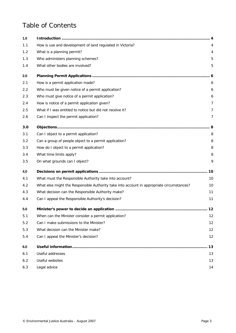# Table of Contents

| 1.0 |                                                                                           |    |
|-----|-------------------------------------------------------------------------------------------|----|
| 1.1 | How is use and development of land regulated in Victoria?                                 |    |
| 1.2 | What is a planning permit?                                                                | 4  |
| 1.3 | Who administers planning schemes?                                                         | 5  |
| 1.4 | What other bodies are involved?                                                           | 5  |
| 2.0 |                                                                                           |    |
| 2.1 | How is a permit application made?                                                         | 6  |
| 2.2 | Who must be given notice of a permit application?                                         | 6  |
| 2.3 | Who must give notice of a permit application?                                             | 6  |
| 2.4 | How is notice of a permit application given?                                              | 7  |
| 2.5 | What if I was entitled to notice but did not receive it?                                  | 7  |
| 2.6 | Can I inspect the permit application?                                                     | 7  |
| 3.0 |                                                                                           | 8  |
| 3.1 | Can I object to a permit application?                                                     | 8  |
| 3.2 | Can a group of people object to a permit application?                                     | 8  |
| 3.3 | How do I object to a permit application?                                                  | 8  |
| 3.4 | What time limits apply?                                                                   | 8  |
| 3.5 | On what grounds can I object?                                                             | 9  |
| 4.0 |                                                                                           | 10 |
| 4.1 | What must the Responsible Authority take into account?                                    | 10 |
| 4.2 | What else might the Responsible Authority take into account in appropriate circumstances? | 10 |
| 4.3 | What decision can the Responsible Authority make?                                         | 11 |
| 4.4 | Can I appeal the Responsible Authority's decision?                                        | 11 |
| 5.0 |                                                                                           |    |
| 5.1 | When can the Minister consider a permit application?                                      | 12 |
| 5.2 | Can I make submissions to the Minister?                                                   | 12 |
| 5.3 | What decision can the Minister make?                                                      | 12 |
| 5.4 | Can I appeal the Minister's decision?                                                     | 12 |
| 6.0 |                                                                                           | 13 |
| 6.1 | Useful addresses                                                                          | 13 |
| 6.2 | <b>Useful websites</b>                                                                    | 13 |
| 6.3 | Legal advice                                                                              | 14 |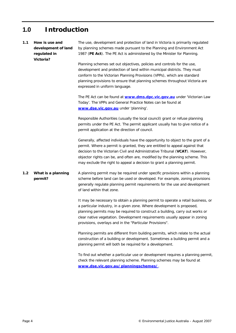# <span id="page-3-0"></span>**1.0 Introduction**

# <span id="page-3-1"></span>*1.1 How is use and development of land regulated in Victoria?* The use, development and protection of land in Victoria is primarily regulated by planning schemes made pursuant to the *Planning and Environment Act 1987* (**PE Act**). The PE Act is administered by the Minister for Planning. Planning schemes set out objectives, policies and controls for the use, development and protection of land within municipal districts. They must conform to the Victorian Planning Provisions (VPPs), which are standard planning provisions to ensure that planning schemes throughout Victoria are expressed in uniform language. The PE Act can be found at **[www.dms.dpc.vic.gov.au](http://www.dms.dpc.vic.gov.au/)** under 'Victorian Law Today'. The VPPs and General Practice Notes can be found at **[www.dse.vic.gov.au](http://www.dse.vic.gov.au/)** under 'planning'. Responsible Authorities (usually the local council) grant or refuse planning permits under the PE Act. The permit applicant usually has to give notice of a permit application at the direction of council. Generally, affected individuals have the opportunity to object to the grant of a permit. Where a permit is granted, they are entitled to appeal against that decision to the Victorian Civil and Administrative Tribunal (**VCAT**). However, objector rights can be, and often are, modified by the planning scheme. This may exclude the right to appeal a decision to grant a planning permit. *1.2 What is a planning permit?* A planning permit may be required under specific provisions within a planning scheme before land can be used or developed. For example, zoning provisions generally regulate planning permit requirements for the use and development of land within that zone.

<span id="page-3-2"></span>It may be necessary to obtain a planning permit to operate a retail business, or a particular industry, in a given zone. Where development is proposed, planning permits may be required to construct a building, carry out works or clear native vegetation. Development requirements usually appear in zoning provisions, overlays and in the "Particular Provisions".

Planning permits are different from building permits, which relate to the actual construction of a building or development. Sometimes a building permit and a planning permit will both be required for a development.

To find out whether a particular use or development requires a planning permit, check the relevant planning scheme. Planning schemes may be found at **[www.dse.vic.gov.au/planningschemes/](http://www.dse.vic.gov.au/planningschemes/)**.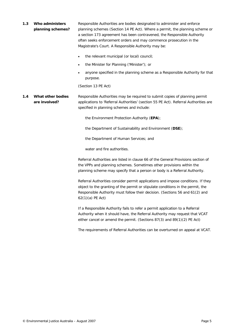<span id="page-4-0"></span>

| 1.3 | Who administers   | Responsible Authorities are bodies designated to administer and enforce      |
|-----|-------------------|------------------------------------------------------------------------------|
|     | planning schemes? | planning schemes (Section 14 PE Act). Where a permit, the planning scheme or |
|     |                   | a section 173 agreement has been contravened, the Responsible Authority      |
|     |                   | often seeks enforcement orders and may commence prosecution in the           |
|     |                   | Magistrate's Court. A Responsible Authority may be:                          |

- the relevant municipal (or local) council;
- the Minister for Planning ('Minister'); or
- anyone specified in the planning scheme as a Responsible Authority for that purpose.

(Section 13 PE Act)

<span id="page-4-1"></span>*1.4 What other bodies are involved?* Responsible Authorities may be required to submit copies of planning permit applications to 'Referral Authorities' (section 55 PE Act). Referral Authorities are specified in planning schemes and include:

the Environment Protection Authority (**EPA**);

the Department of Sustainability and Environment (**DSE**);

the Department of Human Services; and

water and fire authorities.

Referral Authorities are listed in clause 66 of the General Provisions section of the VPPs and planning schemes. Sometimes other provisions within the planning scheme may specify that a person or body is a Referral Authority.

Referral Authorities consider permit applications and impose conditions. If they object to the granting of the permit or stipulate conditions in the permit, the Responsible Authority must follow their decision. (Sections 56 and 61(2) and 62(1)(a) PE Act)

If a Responsible Authority fails to refer a permit application to a Referral Authority when it should have, the Referral Authority may request that VCAT either cancel or amend the permit. (Sections 87(3) and 89(1)(2) PE Act)

The requirements of Referral Authorities can be overturned on appeal at VCAT.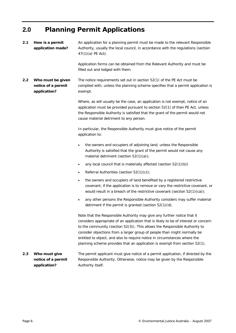# <span id="page-5-0"></span>**2.0 Planning Permit Applications**

<span id="page-5-3"></span><span id="page-5-2"></span><span id="page-5-1"></span>

| 2.1 | How is a permit<br>application made?                    | An application for a planning permit must be made to the relevant Responsible<br>Authority, usually the local council, in accordance with the regulations (section<br>47(1)(a) PE Act).                                                                                                                                                                                                                                                                                             |
|-----|---------------------------------------------------------|-------------------------------------------------------------------------------------------------------------------------------------------------------------------------------------------------------------------------------------------------------------------------------------------------------------------------------------------------------------------------------------------------------------------------------------------------------------------------------------|
|     |                                                         | Application forms can be obtained from the Relevant Authority and must be<br>filled out and lodged with them.                                                                                                                                                                                                                                                                                                                                                                       |
| 2.2 | Who must be given<br>notice of a permit<br>application? | The notice requirements set out in section 52(1) of the PE Act must be<br>complied with, unless the planning scheme specifies that a permit application is<br>exempt.                                                                                                                                                                                                                                                                                                               |
|     |                                                         | Where, as will usually be the case, an application is not exempt, notice of an<br>application must be provided pursuant to section 52(1) of then PE Act, unless<br>the Responsible Authority is satisfied that the grant of the permit would not<br>cause material detriment to any person.                                                                                                                                                                                         |
|     |                                                         | In particular, the Responsible Authority must give notice of the permit<br>application to:                                                                                                                                                                                                                                                                                                                                                                                          |
|     |                                                         | the owners and occupiers of adjoining land, unless the Responsible<br>$\bullet$<br>Authority is satisfied that the grant of the permit would not cause any<br>material detriment (section $52(1)(a)$ );                                                                                                                                                                                                                                                                             |
|     |                                                         | any local council that is materially affected (section $52(1)(b)$ )<br>$\bullet$                                                                                                                                                                                                                                                                                                                                                                                                    |
|     |                                                         | Referral Authorities (section 52(1)(c));<br>٠                                                                                                                                                                                                                                                                                                                                                                                                                                       |
|     |                                                         | the owners and occupiers of land benefited by a registered restrictive<br>$\bullet$<br>covenant, if the application is to remove or vary the restrictive covenant, or<br>would result in a breach of the restrictive covenant (section $52(1)(ca)$ );                                                                                                                                                                                                                               |
|     |                                                         | any other persons the Responsible Authority considers may suffer material<br>$\bullet$<br>detriment if the permit is granted (section 52(1)(d).                                                                                                                                                                                                                                                                                                                                     |
|     |                                                         | Note that the Responsible Authority may give any further notice that it<br>considers appropriate of an application that is likely to be of interest or concern<br>to the community (section 52(3)). This allows the Responsible Authority to<br>consider objections from a larger group of people than might normally be<br>entitled to object, and also to require notice in circumstances where the<br>planning scheme provides that an application is exempt from section 52(1). |
| 2.3 | Who must give<br>notice of a permit<br>application?     | The permit applicant must give notice of a permit application, if directed by the<br>Responsible Authority. Otherwise, notice may be given by the Responsible<br>Authority itself.                                                                                                                                                                                                                                                                                                  |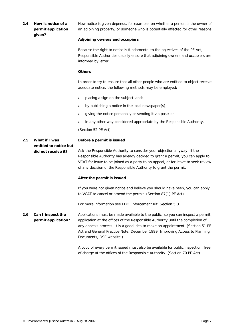## <span id="page-6-0"></span>*2.4 How is notice of a permit application given?*

How notice is given depends, for example, on whether a person is the owner of an adjoining property, or someone who is potentially affected for other reasons.

### **Adjoining owners and occupiers**

Because the right to notice is fundamental to the objectives of the PE Act, Responsible Authorities usually ensure that adjoining owners and occupiers are informed by letter.

### **Others**

In order to try to ensure that all other people who are entitled to object receive adequate notice, the following methods may be employed:

- placing a sign on the subject land;
- by publishing a notice in the local newspaper(s);
- giving the notice personally or sending it via post; or
- in any other way considered appropriate by the Responsible Authority.

(Section 52 PE Act)

#### <span id="page-6-1"></span>*2.5 What if I was entitled to notice but did not receive it?* **Before a permit is issued** Ask the Responsible Authority to consider your objection anyway. If the Responsible Authority has already decided to grant a permit, you can apply to

VCAT for leave to be joined as a party to an appeal, or for leave to seek review of any decision of the Responsible Authority to grant the permit.

### **After the permit is issued**

If you were not given notice and believe you should have been, you can apply to VCAT to cancel or amend the permit. (Section 87(1) PE Act)

For more information see EDO *Enforcement Kit*, Section 5.0.

<span id="page-6-2"></span>*2.6 Can I inspect the permit application?* Applications must be made available to the public, so you can inspect a permit application at the offices of the Responsible Authority until the completion of any appeals process. It is a good idea to make an appointment. (Section 51 PE Act and General Practice Note, December 1999, *Improving Access to Planning Documents,* DSE website.)

> A copy of every permit issued must also be available for public inspection, free of charge at the offices of the Responsible Authority. (Section 70 PE Act)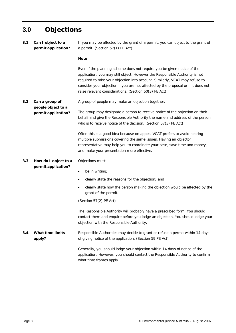# <span id="page-7-0"></span>**3.0 Objections**

<span id="page-7-4"></span><span id="page-7-3"></span><span id="page-7-2"></span><span id="page-7-1"></span>

| 3.1 | Can I object to a<br>permit application?                    | If you may be affected by the grant of a permit, you can object to the grant of<br>a permit. (Section 57(1) PE Act)                                                                                                                                                                                                                                                                 |
|-----|-------------------------------------------------------------|-------------------------------------------------------------------------------------------------------------------------------------------------------------------------------------------------------------------------------------------------------------------------------------------------------------------------------------------------------------------------------------|
|     |                                                             | <b>Note</b>                                                                                                                                                                                                                                                                                                                                                                         |
|     |                                                             | Even if the planning scheme does not require you be given notice of the<br>application, you may still object. However the Responsible Authority is not<br>required to take your objection into account. Similarly, VCAT may refuse to<br>consider your objection if you are not affected by the proposal or if it does not<br>raise relevant considerations. (Section 60(3) PE Act) |
| 3.2 | Can a group of<br>people object to a<br>permit application? | A group of people may make an objection together.                                                                                                                                                                                                                                                                                                                                   |
|     |                                                             | The group may designate a person to receive notice of the objection on their<br>behalf and give the Responsible Authority the name and address of the person<br>who is to receive notice of the decision. (Section 57(3) PE Act)                                                                                                                                                    |
|     |                                                             | Often this is a good idea because on appeal VCAT prefers to avoid hearing<br>multiple submissions covering the same issues. Having an objector<br>representative may help you to coordinate your case, save time and money,<br>and make your presentation more effective.                                                                                                           |
| 3.3 | How do I object to a                                        | Objections must:                                                                                                                                                                                                                                                                                                                                                                    |
|     | permit application?                                         | be in writing;<br>٠                                                                                                                                                                                                                                                                                                                                                                 |
|     |                                                             | clearly state the reasons for the objection; and<br>$\bullet$                                                                                                                                                                                                                                                                                                                       |
|     |                                                             | clearly state how the person making the objection would be affected by the<br>$\bullet$<br>grant of the permit.                                                                                                                                                                                                                                                                     |
|     |                                                             | (Section 57(2) PE Act)                                                                                                                                                                                                                                                                                                                                                              |
|     |                                                             | The Responsible Authority will probably have a prescribed form. You should<br>contact them and enquire before you lodge an objection. You should lodge your<br>objection with the Responsible Authority.                                                                                                                                                                            |
| 3.4 | <b>What time limits</b><br>apply?                           | Responsible Authorities may decide to grant or refuse a permit within 14 days<br>of giving notice of the application. (Section 59 PE Act)                                                                                                                                                                                                                                           |
|     |                                                             | Generally, you should lodge your objection within 14 days of notice of the<br>application. However, you should contact the Responsible Authority to confirm<br>what time frames apply.                                                                                                                                                                                              |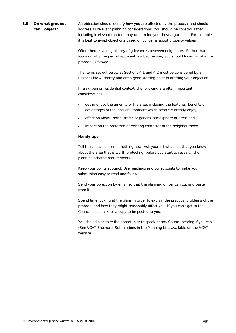# <span id="page-8-0"></span>*3.5 On what grounds can I object?*

An objection should identify how you are affected by the proposal and should address all relevant planning considerations. You should be conscious that including irrelevant matters may undermine your best arguments. For example, it is best to avoid objections based on concerns about property values.

Often there is a long history of grievances between neighbours. Rather than focus on why the permit applicant is a bad person, you should focus on why the proposal is flawed.

The items set out below at Sections 4.1 and 4.2 must be considered by a Responsible Authority and are a good starting point in drafting your objection.

In an urban or residential context, the following are often important considerations:

- detriment to the amenity of the area, including the features, benefits or advantages of the local environment which people currently enjoy;
- effect on views, noise, traffic or general atmosphere of area; and
- impact on the preferred or existing character of the neighbourhood.

### **Handy tips**

Tell the council officer something new. Ask yourself what is it that you know about the area that is worth protecting, before you start to research the planning scheme requirements.

Keep your points succinct. Use headings and bullet points to make your submission easy to read and follow.

Send your objection by email so that the planning officer can cut and paste from it.

Spend time looking at the plans in order to explain the practical problems of the proposal and how they might reasonably affect you. If you can't get to the Council office, ask for a copy to be posted to you.

You should also take the opportunity to speak at any Council hearing if you can. (See VCAT Brochure, *Submissions in the Planning List*, available on the VCAT website.)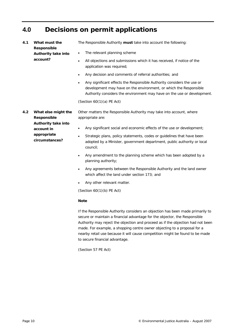# <span id="page-9-0"></span>**4.0 Decisions on permit applications**

<span id="page-9-2"></span><span id="page-9-1"></span>

| 4.1 | What must the<br>Responsible                                                                                    | The Responsible Authority must take into account the following:                                                                                                                                                                     |
|-----|-----------------------------------------------------------------------------------------------------------------|-------------------------------------------------------------------------------------------------------------------------------------------------------------------------------------------------------------------------------------|
|     | Authority take into<br>account?                                                                                 | The relevant planning scheme<br>٠                                                                                                                                                                                                   |
|     |                                                                                                                 | All objections and submissions which it has received, if notice of the<br>$\bullet$<br>application was required;                                                                                                                    |
|     |                                                                                                                 | Any decision and comments of referral authorities; and<br>$\bullet$                                                                                                                                                                 |
|     |                                                                                                                 | Any significant effects the Responsible Authority considers the use or<br>$\bullet$<br>development may have on the environment, or which the Responsible<br>Authority considers the environment may have on the use or development. |
|     |                                                                                                                 | (Section $60(1)(a)$ PE Act)                                                                                                                                                                                                         |
| 4.2 | What else might the<br>Responsible<br><b>Authority take into</b><br>account in<br>appropriate<br>circumstances? | Other matters the Responsible Authority may take into account, where<br>appropriate are:                                                                                                                                            |
|     |                                                                                                                 | Any significant social and economic effects of the use or development;<br>$\bullet$                                                                                                                                                 |
|     |                                                                                                                 | Strategic plans, policy statements, codes or guidelines that have been<br>$\bullet$<br>adopted by a Minister, government department, public authority or local<br>council:                                                          |
|     |                                                                                                                 | Any amendment to the planning scheme which has been adopted by a<br>$\bullet$<br>planning authority;                                                                                                                                |
|     |                                                                                                                 | Any agreements between the Responsible Authority and the land owner<br>$\bullet$<br>which affect the land under section 173; and                                                                                                    |
|     |                                                                                                                 | Any other relevant matter.<br>$\bullet$                                                                                                                                                                                             |

(Section 60(1)(b) PE Act)

### **Note**

If the Responsible Authority considers an objection has been made primarily to secure or maintain a financial advantage for the objector, the Responsible Authority may reject the objection and proceed as if the objection had not been made. For example, a shopping centre owner objecting to a proposal for a nearby retail use because it will cause competition might be found to be made to secure financial advantage.

(Section 57 PE Act)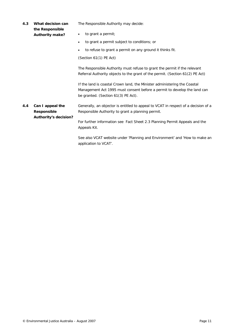<span id="page-10-1"></span><span id="page-10-0"></span>

| 4.3 | What decision can<br>the Responsible                            | The Responsible Authority may decide:                                                                                                                                                        |
|-----|-----------------------------------------------------------------|----------------------------------------------------------------------------------------------------------------------------------------------------------------------------------------------|
|     | <b>Authority make?</b>                                          | to grant a permit;<br>٠                                                                                                                                                                      |
|     |                                                                 | to grant a permit subject to conditions; or<br>٠                                                                                                                                             |
|     |                                                                 | to refuse to grant a permit on any ground it thinks fit.<br>$\bullet$                                                                                                                        |
|     |                                                                 | (Section 61(1) PE Act)                                                                                                                                                                       |
|     |                                                                 | The Responsible Authority must refuse to grant the permit if the relevant<br>Referral Authority objects to the grant of the permit. (Section 61(2) PE Act)                                   |
|     |                                                                 | If the land is coastal Crown land, the Minister administering the Coastal<br>Management Act 1995 must consent before a permit to develop the land can<br>be granted. (Section 61(3) PE Act). |
| 4.4 | Can I appeal the<br><b>Responsible</b><br>Authority's decision? | Generally, an objector is entitled to appeal to VCAT in respect of a decision of a<br>Responsible Authority to grant a planning permit.                                                      |
|     |                                                                 | For further information see Fact Sheet 2.3 Planning Permit Appeals and the<br>Appeals Kit.                                                                                                   |
|     |                                                                 | See also VCAT website under 'Planning and Environment' and 'How to make an<br>application to VCAT'.                                                                                          |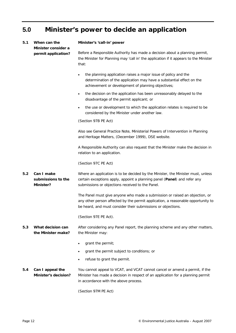# <span id="page-11-0"></span>**5.0 Minister's power to decide an application**

## <span id="page-11-1"></span>*5.1 When can the Minister consider a permit application?*

#### **Minister's 'call-in' power**

Before a Responsible Authority has made a decision about a planning permit, the Minister for Planning may 'call in' the application if it appears to the Minister that:

- the planning application raises a major issue of policy and the determination of the application may have a substantial effect on the achievement or development of planning objectives;
- the decision on the application has been unreasonably delayed to the disadvantage of the permit applicant; or
- the use or development to which the application relates is required to be considered by the Minister under another law.

(Section 97B PE Act)

Also see General Practice Note, *Ministerial Powers of Intervention in Planning and Heritage Matters*, (December 1999), DSE website.

A Responsible Authority can also request that the Minister make the decision in relation to an application.

(Section 97C PE Act)

<span id="page-11-2"></span>*5.2 Can I make submissions to the Minister?* Where an application is to be decided by the Minister, the Minister must, unless certain exceptions apply, appoint a planning panel (**Panel**) and refer any submissions or objections received to the Panel.

> The Panel must give anyone who made a submission or raised an objection, or any other person affected by the permit application, a reasonable opportunity to be heard, and must consider their submissions or objections.

(Section 97E PE Act).

<span id="page-11-3"></span>*5.3 What decision can the Minister make?* After considering any Panel report, the planning scheme and any other matters, the Minister may:

- grant the permit;
- grant the permit subject to conditions; or
- refuse to grant the permit.

<span id="page-11-5"></span><span id="page-11-4"></span>*5.4 Can I appeal the Minister's decision?* You cannot appeal to VCAT, and VCAT cannot cancel or amend a permit, if the Minister has made a decision in respect of an application for a planning permit in accordance with the above process.

(Section 97M PE Act)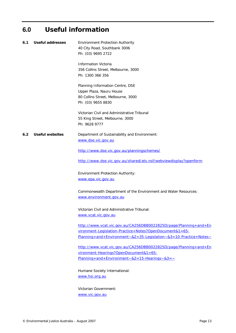# **6.0 Useful information**

<span id="page-12-1"></span><span id="page-12-0"></span>

| 6.1 | Useful addresses       | <b>Environment Protection Authority</b><br>40 City Road, Southbank 3006<br>Ph: (03) 9695 2722               |
|-----|------------------------|-------------------------------------------------------------------------------------------------------------|
|     |                        | <b>Information Victoria</b>                                                                                 |
|     |                        | 356 Collins Street, Melbourne, 3000                                                                         |
|     |                        | Ph: 1300 366 356                                                                                            |
|     |                        | Planning Information Centre, DSE                                                                            |
|     |                        | Upper Plaza, Nauru House                                                                                    |
|     |                        | 80 Collins Street, Melbourne, 3000<br>Ph: (03) 9655 8830                                                    |
|     |                        | Victorian Civil and Administrative Tribunal<br>55 King Street, Melbourne, 3000                              |
|     |                        | Ph: 9628 9777                                                                                               |
| 6.2 | <b>Useful websites</b> | Department of Sustainability and Environment:                                                               |
|     |                        | www.dse.vic.gov.au                                                                                          |
|     |                        | http://www.dse.vic.gov.au/planningschemes/                                                                  |
|     |                        | http://www.dse.vic.gov.au/shared/ats.nsf/webviewdisplay?openform                                            |
|     |                        | <b>Environment Protection Authority:</b>                                                                    |
|     |                        | www.epa.vic.gov.au                                                                                          |
|     |                        | Commonwealth Department of the Environment and Water Resources:<br>www.environment.gov.au                   |
|     |                        | Victorian Civil and Administrative Tribunal:<br><u>www.vcat.vic.gov.au</u>                                  |
|     |                        | http://www.vcat.vic.gov.au/CA256DBB0022825D/page/Planning+and+En                                            |
|     |                        | vironment-Legislation-Practice+Notes?OpenDocument&1=65-                                                     |
|     |                        | Planning+and+Environment~&2=35-Legislation~&3=10-Practice+Notes~                                            |
|     |                        | http://www.vcat.vic.gov.au/CA256DBB0022825D/page/Planning+and+En                                            |
|     |                        | vironment-Hearings?OpenDocument&1=65-<br>Planning + and + Environment ~ $& 2 = 15$ -Hearings ~ $& 3 = \sim$ |
|     |                        | Humane Society International:                                                                               |
|     |                        | www.hsi.org.au                                                                                              |
|     |                        | Victorian Government:                                                                                       |

[www.vic.gov.au](http://www.vic.gov.au/)